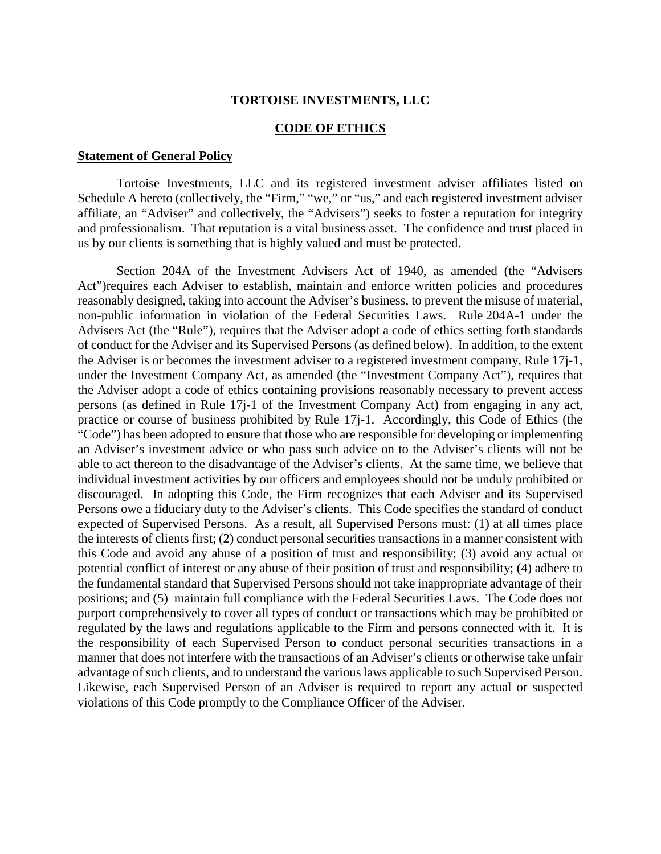#### **TORTOISE INVESTMENTS, LLC**

#### **CODE OF ETHICS**

#### **Statement of General Policy**

Tortoise Investments, LLC and its registered investment adviser affiliates listed on Schedule A hereto (collectively, the "Firm," "we," or "us," and each registered investment adviser affiliate, an "Adviser" and collectively, the "Advisers") seeks to foster a reputation for integrity and professionalism. That reputation is a vital business asset. The confidence and trust placed in us by our clients is something that is highly valued and must be protected.

Section 204A of the Investment Advisers Act of 1940, as amended (the "Advisers Act") requires each Adviser to establish, maintain and enforce written policies and procedures reasonably designed, taking into account the Adviser's business, to prevent the misuse of material, non-public information in violation of the Federal Securities Laws. Rule 204A-1 under the Advisers Act (the "Rule"), requires that the Adviser adopt a code of ethics setting forth standards of conduct for the Adviser and its Supervised Persons (as defined below). In addition, to the extent the Adviser is or becomes the investment adviser to a registered investment company, Rule 17j-1, under the Investment Company Act, as amended (the "Investment Company Act"), requires that the Adviser adopt a code of ethics containing provisions reasonably necessary to prevent access persons (as defined in Rule 17j-1 of the Investment Company Act) from engaging in any act, practice or course of business prohibited by Rule 17j-1. Accordingly, this Code of Ethics (the "Code") has been adopted to ensure that those who are responsible for developing or implementing an Adviser's investment advice or who pass such advice on to the Adviser's clients will not be able to act thereon to the disadvantage of the Adviser's clients. At the same time, we believe that individual investment activities by our officers and employees should not be unduly prohibited or discouraged. In adopting this Code, the Firm recognizes that each Adviser and its Supervised Persons owe a fiduciary duty to the Adviser's clients. This Code specifies the standard of conduct expected of Supervised Persons. As a result, all Supervised Persons must: (1) at all times place the interests of clients first; (2) conduct personal securities transactions in a manner consistent with this Code and avoid any abuse of a position of trust and responsibility; (3) avoid any actual or potential conflict of interest or any abuse of their position of trust and responsibility; (4) adhere to the fundamental standard that Supervised Persons should not take inappropriate advantage of their positions; and (5) maintain full compliance with the Federal Securities Laws. The Code does not purport comprehensively to cover all types of conduct or transactions which may be prohibited or regulated by the laws and regulations applicable to the Firm and persons connected with it. It is the responsibility of each Supervised Person to conduct personal securities transactions in a manner that does not interfere with the transactions of an Adviser's clients or otherwise take unfair advantage of such clients, and to understand the various laws applicable to such Supervised Person. Likewise, each Supervised Person of an Adviser is required to report any actual or suspected violations of this Code promptly to the Compliance Officer of the Adviser.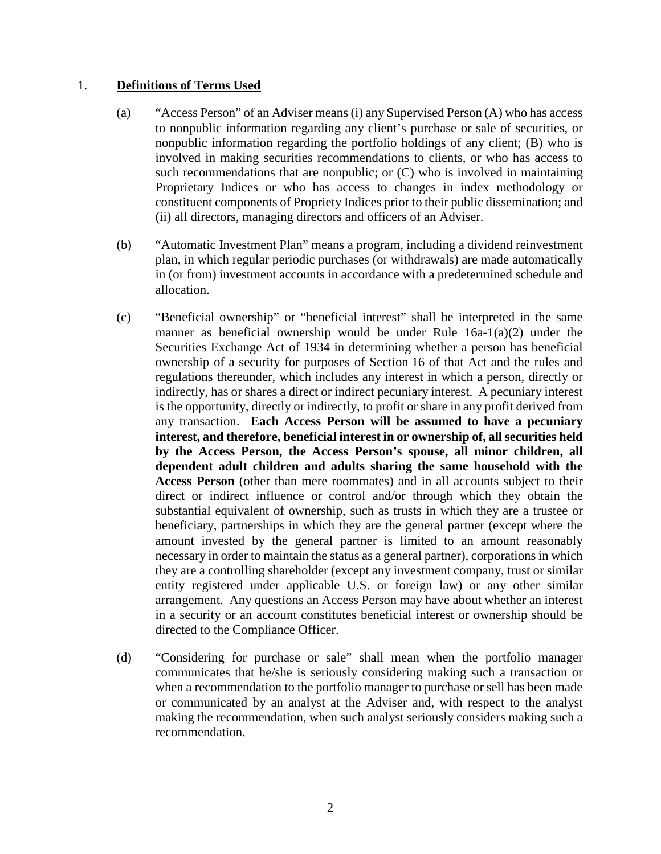# 1. **Definitions of Terms Used**

- (a) "Access Person" of an Adviser means (i) any Supervised Person (A) who has access to nonpublic information regarding any client's purchase or sale of securities, or nonpublic information regarding the portfolio holdings of any client; (B) who is involved in making securities recommendations to clients, or who has access to such recommendations that are nonpublic; or  $(C)$  who is involved in maintaining Proprietary Indices or who has access to changes in index methodology or constituent components of Propriety Indices prior to their public dissemination; and (ii) all directors, managing directors and officers of an Adviser.
- (b) "Automatic Investment Plan" means a program, including a dividend reinvestment plan, in which regular periodic purchases (or withdrawals) are made automatically in (or from) investment accounts in accordance with a predetermined schedule and allocation.
- (c) "Beneficial ownership" or "beneficial interest" shall be interpreted in the same manner as beneficial ownership would be under Rule 16a-1(a)(2) under the Securities Exchange Act of 1934 in determining whether a person has beneficial ownership of a security for purposes of Section 16 of that Act and the rules and regulations thereunder, which includes any interest in which a person, directly or indirectly, has or shares a direct or indirect pecuniary interest. A pecuniary interest is the opportunity, directly or indirectly, to profit or share in any profit derived from any transaction. **Each Access Person will be assumed to have a pecuniary interest, and therefore, beneficial interest in or ownership of, all securities held by the Access Person, the Access Person's spouse, all minor children, all dependent adult children and adults sharing the same household with the Access Person** (other than mere roommates) and in all accounts subject to their direct or indirect influence or control and/or through which they obtain the substantial equivalent of ownership, such as trusts in which they are a trustee or beneficiary, partnerships in which they are the general partner (except where the amount invested by the general partner is limited to an amount reasonably necessary in order to maintain the status as a general partner), corporations in which they are a controlling shareholder (except any investment company, trust or similar entity registered under applicable U.S. or foreign law) or any other similar arrangement. Any questions an Access Person may have about whether an interest in a security or an account constitutes beneficial interest or ownership should be directed to the Compliance Officer.
- (d) "Considering for purchase or sale" shall mean when the portfolio manager communicates that he/she is seriously considering making such a transaction or when a recommendation to the portfolio manager to purchase or sell has been made or communicated by an analyst at the Adviser and, with respect to the analyst making the recommendation, when such analyst seriously considers making such a recommendation.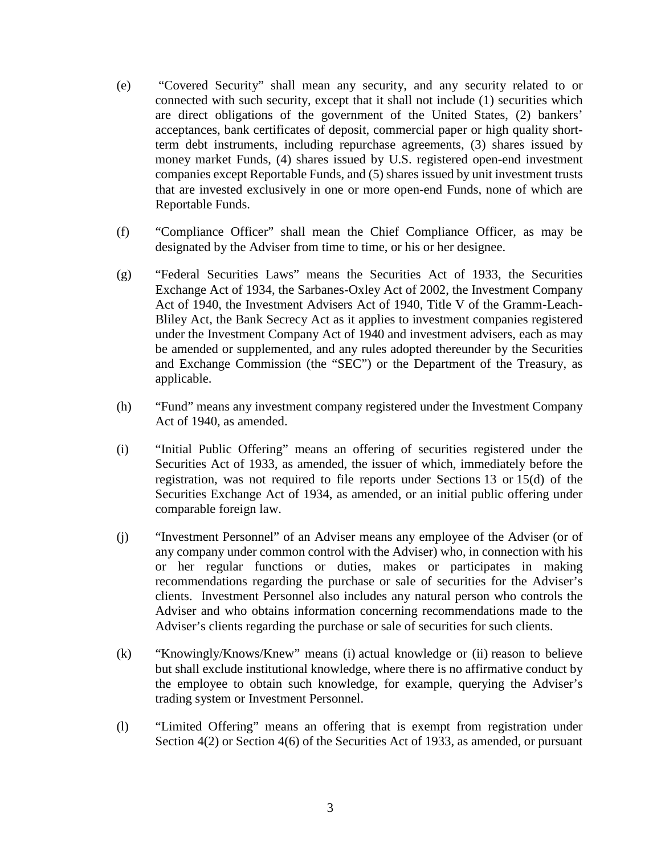- (e) "Covered Security" shall mean any security, and any security related to or connected with such security, except that it shall not include (1) securities which are direct obligations of the government of the United States, (2) bankers' acceptances, bank certificates of deposit, commercial paper or high quality shortterm debt instruments, including repurchase agreements, (3) shares issued by money market Funds, (4) shares issued by U.S. registered open-end investment companies except Reportable Funds, and (5) shares issued by unit investment trusts that are invested exclusively in one or more open-end Funds, none of which are Reportable Funds.
- (f) "Compliance Officer" shall mean the Chief Compliance Officer, as may be designated by the Adviser from time to time, or his or her designee.
- (g) "Federal Securities Laws" means the Securities Act of 1933, the Securities Exchange Act of 1934, the Sarbanes-Oxley Act of 2002, the Investment Company Act of 1940, the Investment Advisers Act of 1940, Title V of the Gramm-Leach-Bliley Act, the Bank Secrecy Act as it applies to investment companies registered under the Investment Company Act of 1940 and investment advisers, each as may be amended or supplemented, and any rules adopted thereunder by the Securities and Exchange Commission (the "SEC") or the Department of the Treasury, as applicable.
- (h) "Fund" means any investment company registered under the Investment Company Act of 1940, as amended.
- (i) "Initial Public Offering" means an offering of securities registered under the Securities Act of 1933, as amended, the issuer of which, immediately before the registration, was not required to file reports under Sections 13 or 15(d) of the Securities Exchange Act of 1934, as amended, or an initial public offering under comparable foreign law.
- (j) "Investment Personnel" of an Adviser means any employee of the Adviser (or of any company under common control with the Adviser) who, in connection with his or her regular functions or duties, makes or participates in making recommendations regarding the purchase or sale of securities for the Adviser's clients. Investment Personnel also includes any natural person who controls the Adviser and who obtains information concerning recommendations made to the Adviser's clients regarding the purchase or sale of securities for such clients.
- (k) "Knowingly/Knows/Knew" means (i) actual knowledge or (ii) reason to believe but shall exclude institutional knowledge, where there is no affirmative conduct by the employee to obtain such knowledge, for example, querying the Adviser's trading system or Investment Personnel.
- (l) "Limited Offering" means an offering that is exempt from registration under Section 4(2) or Section 4(6) of the Securities Act of 1933, as amended, or pursuant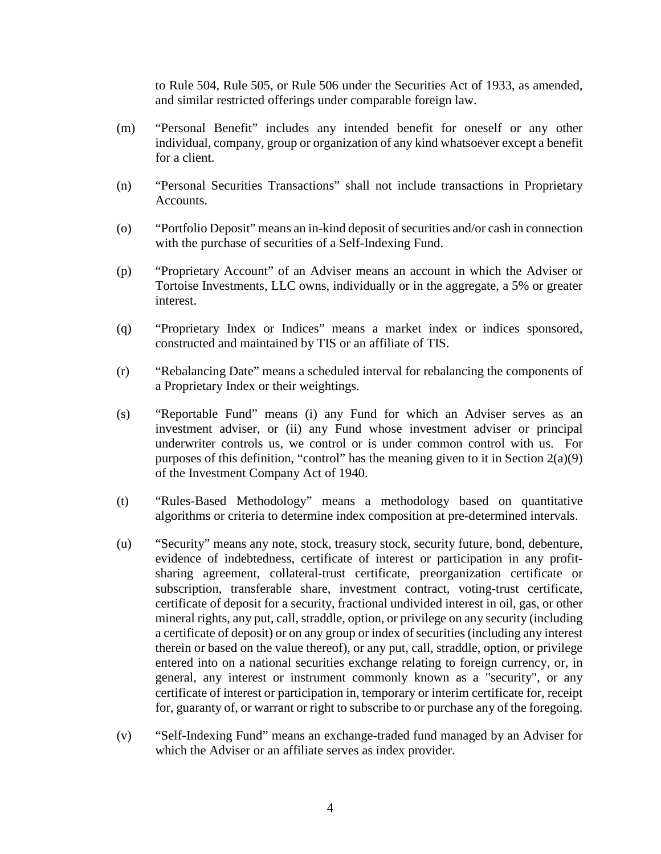to Rule 504, Rule 505, or Rule 506 under the Securities Act of 1933, as amended, and similar restricted offerings under comparable foreign law.

- (m) "Personal Benefit" includes any intended benefit for oneself or any other individual, company, group or organization of any kind whatsoever except a benefit for a client.
- (n) "Personal Securities Transactions" shall not include transactions in Proprietary Accounts.
- (o) "Portfolio Deposit" means an in-kind deposit of securities and/or cash in connection with the purchase of securities of a Self-Indexing Fund.
- (p) "Proprietary Account" of an Adviser means an account in which the Adviser or Tortoise Investments, LLC owns, individually or in the aggregate, a 5% or greater interest.
- (q) "Proprietary Index or Indices" means a market index or indices sponsored, constructed and maintained by TIS or an affiliate of TIS.
- (r) "Rebalancing Date" means a scheduled interval for rebalancing the components of a Proprietary Index or their weightings.
- (s) "Reportable Fund" means (i) any Fund for which an Adviser serves as an investment adviser, or (ii) any Fund whose investment adviser or principal underwriter controls us, we control or is under common control with us. For purposes of this definition, "control" has the meaning given to it in Section 2(a)(9) of the Investment Company Act of 1940.
- (t) "Rules-Based Methodology" means a methodology based on quantitative algorithms or criteria to determine index composition at pre-determined intervals.
- (u) "Security" means any note, stock, treasury stock, security future, bond, debenture, evidence of indebtedness, certificate of interest or participation in any profitsharing agreement, collateral-trust certificate, preorganization certificate or subscription, transferable share, investment contract, voting-trust certificate, certificate of deposit for a security, fractional undivided interest in oil, gas, or other mineral rights, any put, call, straddle, option, or privilege on any security (including a certificate of deposit) or on any group or index of securities (including any interest therein or based on the value thereof), or any put, call, straddle, option, or privilege entered into on a national securities exchange relating to foreign currency, or, in general, any interest or instrument commonly known as a "security", or any certificate of interest or participation in, temporary or interim certificate for, receipt for, guaranty of, or warrant or right to subscribe to or purchase any of the foregoing.
- (v) "Self-Indexing Fund" means an exchange-traded fund managed by an Adviser for which the Adviser or an affiliate serves as index provider.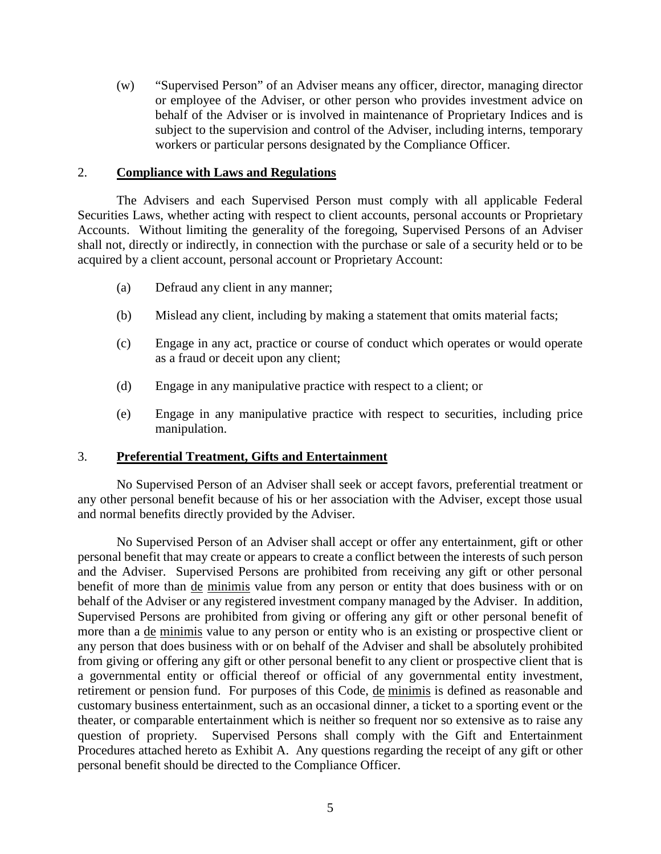(w) "Supervised Person" of an Adviser means any officer, director, managing director or employee of the Adviser, or other person who provides investment advice on behalf of the Adviser or is involved in maintenance of Proprietary Indices and is subject to the supervision and control of the Adviser, including interns, temporary workers or particular persons designated by the Compliance Officer.

### 2. **Compliance with Laws and Regulations**

The Advisers and each Supervised Person must comply with all applicable Federal Securities Laws, whether acting with respect to client accounts, personal accounts or Proprietary Accounts. Without limiting the generality of the foregoing, Supervised Persons of an Adviser shall not, directly or indirectly, in connection with the purchase or sale of a security held or to be acquired by a client account, personal account or Proprietary Account:

- (a) Defraud any client in any manner;
- (b) Mislead any client, including by making a statement that omits material facts;
- (c) Engage in any act, practice or course of conduct which operates or would operate as a fraud or deceit upon any client;
- (d) Engage in any manipulative practice with respect to a client; or
- (e) Engage in any manipulative practice with respect to securities, including price manipulation.

#### 3. **Preferential Treatment, Gifts and Entertainment**

No Supervised Person of an Adviser shall seek or accept favors, preferential treatment or any other personal benefit because of his or her association with the Adviser, except those usual and normal benefits directly provided by the Adviser.

No Supervised Person of an Adviser shall accept or offer any entertainment, gift or other personal benefit that may create or appears to create a conflict between the interests of such person and the Adviser. Supervised Persons are prohibited from receiving any gift or other personal benefit of more than de minimis value from any person or entity that does business with or on behalf of the Adviser or any registered investment company managed by the Adviser. In addition, Supervised Persons are prohibited from giving or offering any gift or other personal benefit of more than a de minimis value to any person or entity who is an existing or prospective client or any person that does business with or on behalf of the Adviser and shall be absolutely prohibited from giving or offering any gift or other personal benefit to any client or prospective client that is a governmental entity or official thereof or official of any governmental entity investment, retirement or pension fund. For purposes of this Code, de minimis is defined as reasonable and customary business entertainment, such as an occasional dinner, a ticket to a sporting event or the theater, or comparable entertainment which is neither so frequent nor so extensive as to raise any question of propriety. Supervised Persons shall comply with the Gift and Entertainment Procedures attached hereto as Exhibit A. Any questions regarding the receipt of any gift or other personal benefit should be directed to the Compliance Officer.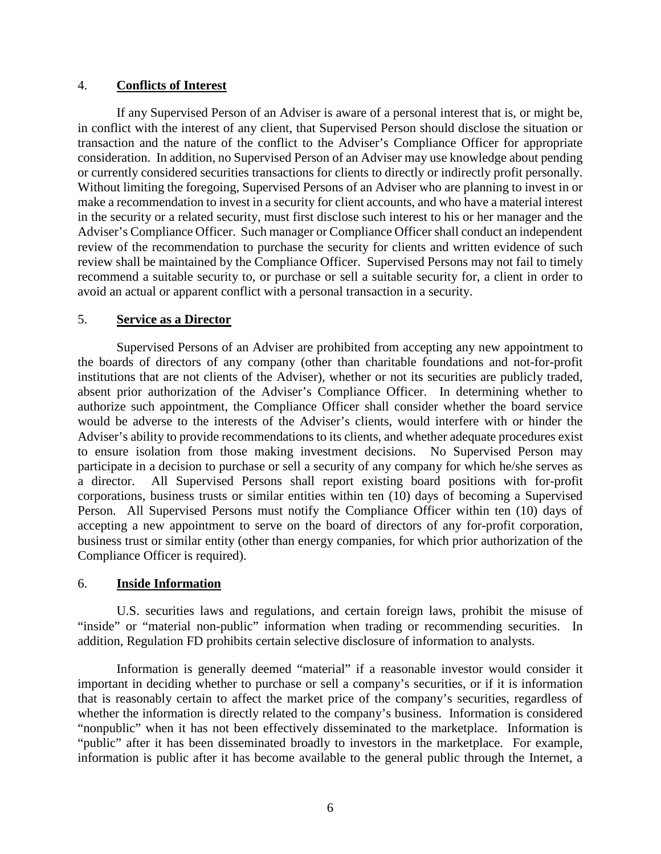### 4. **Conflicts of Interest**

If any Supervised Person of an Adviser is aware of a personal interest that is, or might be, in conflict with the interest of any client, that Supervised Person should disclose the situation or transaction and the nature of the conflict to the Adviser's Compliance Officer for appropriate consideration. In addition, no Supervised Person of an Adviser may use knowledge about pending or currently considered securities transactions for clients to directly or indirectly profit personally. Without limiting the foregoing, Supervised Persons of an Adviser who are planning to invest in or make a recommendation to invest in a security for client accounts, and who have a material interest in the security or a related security, must first disclose such interest to his or her manager and the Adviser's Compliance Officer. Such manager or Compliance Officer shall conduct an independent review of the recommendation to purchase the security for clients and written evidence of such review shall be maintained by the Compliance Officer. Supervised Persons may not fail to timely recommend a suitable security to, or purchase or sell a suitable security for, a client in order to avoid an actual or apparent conflict with a personal transaction in a security.

# 5. **Service as a Director**

Supervised Persons of an Adviser are prohibited from accepting any new appointment to the boards of directors of any company (other than charitable foundations and not-for-profit institutions that are not clients of the Adviser), whether or not its securities are publicly traded, absent prior authorization of the Adviser's Compliance Officer. In determining whether to authorize such appointment, the Compliance Officer shall consider whether the board service would be adverse to the interests of the Adviser's clients, would interfere with or hinder the Adviser's ability to provide recommendations to its clients, and whether adequate procedures exist to ensure isolation from those making investment decisions. No Supervised Person may participate in a decision to purchase or sell a security of any company for which he/she serves as a director. All Supervised Persons shall report existing board positions with for-profit corporations, business trusts or similar entities within ten (10) days of becoming a Supervised Person. All Supervised Persons must notify the Compliance Officer within ten (10) days of accepting a new appointment to serve on the board of directors of any for-profit corporation, business trust or similar entity (other than energy companies, for which prior authorization of the Compliance Officer is required).

#### 6. **Inside Information**

U.S. securities laws and regulations, and certain foreign laws, prohibit the misuse of "inside" or "material non-public" information when trading or recommending securities. In addition, Regulation FD prohibits certain selective disclosure of information to analysts.

Information is generally deemed "material" if a reasonable investor would consider it important in deciding whether to purchase or sell a company's securities, or if it is information that is reasonably certain to affect the market price of the company's securities, regardless of whether the information is directly related to the company's business. Information is considered "nonpublic" when it has not been effectively disseminated to the marketplace. Information is "public" after it has been disseminated broadly to investors in the marketplace. For example, information is public after it has become available to the general public through the Internet, a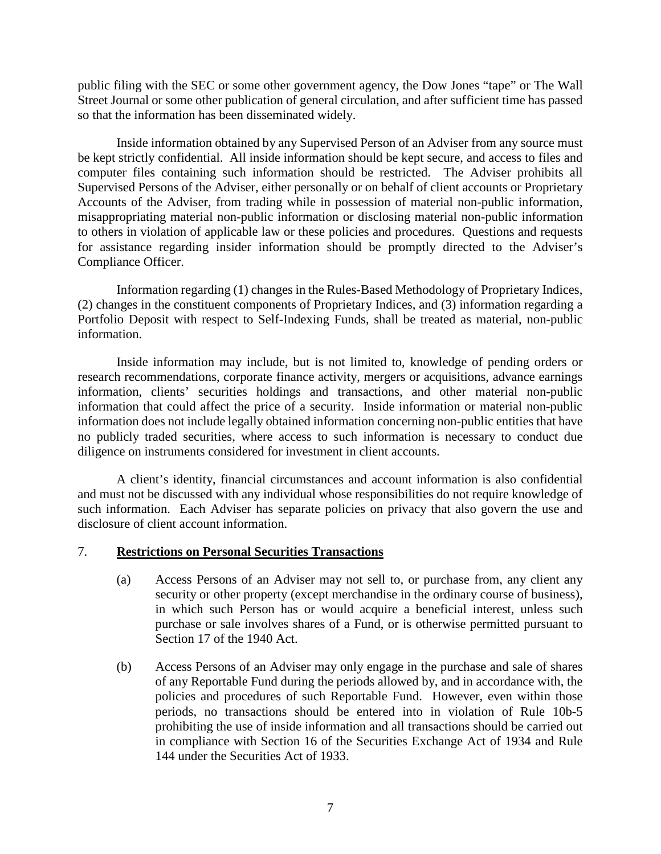public filing with the SEC or some other government agency, the Dow Jones "tape" or The Wall Street Journal or some other publication of general circulation, and after sufficient time has passed so that the information has been disseminated widely.

Inside information obtained by any Supervised Person of an Adviser from any source must be kept strictly confidential. All inside information should be kept secure, and access to files and computer files containing such information should be restricted. The Adviser prohibits all Supervised Persons of the Adviser, either personally or on behalf of client accounts or Proprietary Accounts of the Adviser, from trading while in possession of material non-public information, misappropriating material non-public information or disclosing material non-public information to others in violation of applicable law or these policies and procedures. Questions and requests for assistance regarding insider information should be promptly directed to the Adviser's Compliance Officer.

Information regarding (1) changes in the Rules-Based Methodology of Proprietary Indices, (2) changes in the constituent components of Proprietary Indices, and (3) information regarding a Portfolio Deposit with respect to Self-Indexing Funds, shall be treated as material, non-public information.

Inside information may include, but is not limited to, knowledge of pending orders or research recommendations, corporate finance activity, mergers or acquisitions, advance earnings information, clients' securities holdings and transactions, and other material non-public information that could affect the price of a security. Inside information or material non-public information does not include legally obtained information concerning non-public entities that have no publicly traded securities, where access to such information is necessary to conduct due diligence on instruments considered for investment in client accounts.

A client's identity, financial circumstances and account information is also confidential and must not be discussed with any individual whose responsibilities do not require knowledge of such information. Each Adviser has separate policies on privacy that also govern the use and disclosure of client account information.

#### 7. **Restrictions on Personal Securities Transactions**

- (a) Access Persons of an Adviser may not sell to, or purchase from, any client any security or other property (except merchandise in the ordinary course of business), in which such Person has or would acquire a beneficial interest, unless such purchase or sale involves shares of a Fund, or is otherwise permitted pursuant to Section 17 of the 1940 Act.
- (b) Access Persons of an Adviser may only engage in the purchase and sale of shares of any Reportable Fund during the periods allowed by, and in accordance with, the policies and procedures of such Reportable Fund. However, even within those periods, no transactions should be entered into in violation of Rule 10b-5 prohibiting the use of inside information and all transactions should be carried out in compliance with Section 16 of the Securities Exchange Act of 1934 and Rule 144 under the Securities Act of 1933.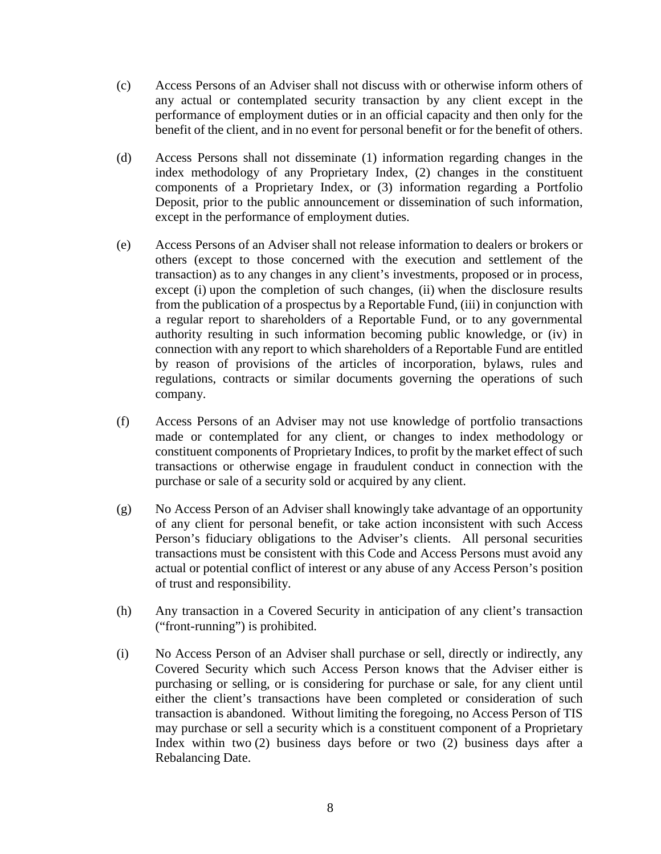- (c) Access Persons of an Adviser shall not discuss with or otherwise inform others of any actual or contemplated security transaction by any client except in the performance of employment duties or in an official capacity and then only for the benefit of the client, and in no event for personal benefit or for the benefit of others.
- (d) Access Persons shall not disseminate (1) information regarding changes in the index methodology of any Proprietary Index, (2) changes in the constituent components of a Proprietary Index, or (3) information regarding a Portfolio Deposit, prior to the public announcement or dissemination of such information, except in the performance of employment duties.
- (e) Access Persons of an Adviser shall not release information to dealers or brokers or others (except to those concerned with the execution and settlement of the transaction) as to any changes in any client's investments, proposed or in process, except (i) upon the completion of such changes, (ii) when the disclosure results from the publication of a prospectus by a Reportable Fund, (iii) in conjunction with a regular report to shareholders of a Reportable Fund, or to any governmental authority resulting in such information becoming public knowledge, or (iv) in connection with any report to which shareholders of a Reportable Fund are entitled by reason of provisions of the articles of incorporation, bylaws, rules and regulations, contracts or similar documents governing the operations of such company.
- (f) Access Persons of an Adviser may not use knowledge of portfolio transactions made or contemplated for any client, or changes to index methodology or constituent components of Proprietary Indices, to profit by the market effect of such transactions or otherwise engage in fraudulent conduct in connection with the purchase or sale of a security sold or acquired by any client.
- (g) No Access Person of an Adviser shall knowingly take advantage of an opportunity of any client for personal benefit, or take action inconsistent with such Access Person's fiduciary obligations to the Adviser's clients. All personal securities transactions must be consistent with this Code and Access Persons must avoid any actual or potential conflict of interest or any abuse of any Access Person's position of trust and responsibility.
- (h) Any transaction in a Covered Security in anticipation of any client's transaction ("front-running") is prohibited.
- (i) No Access Person of an Adviser shall purchase or sell, directly or indirectly, any Covered Security which such Access Person knows that the Adviser either is purchasing or selling, or is considering for purchase or sale, for any client until either the client's transactions have been completed or consideration of such transaction is abandoned. Without limiting the foregoing, no Access Person of TIS may purchase or sell a security which is a constituent component of a Proprietary Index within two (2) business days before or two (2) business days after a Rebalancing Date.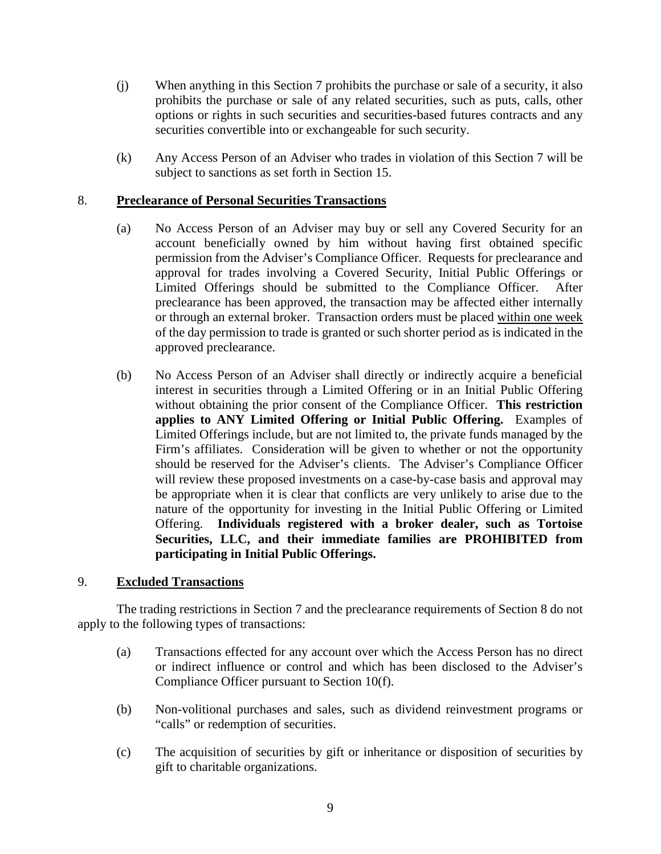- (j) When anything in this Section 7 prohibits the purchase or sale of a security, it also prohibits the purchase or sale of any related securities, such as puts, calls, other options or rights in such securities and securities-based futures contracts and any securities convertible into or exchangeable for such security.
- (k) Any Access Person of an Adviser who trades in violation of this Section 7 will be subject to sanctions as set forth in Section 15.

# 8. **Preclearance of Personal Securities Transactions**

- (a) No Access Person of an Adviser may buy or sell any Covered Security for an account beneficially owned by him without having first obtained specific permission from the Adviser's Compliance Officer. Requests for preclearance and approval for trades involving a Covered Security, Initial Public Offerings or Limited Offerings should be submitted to the Compliance Officer. After preclearance has been approved, the transaction may be affected either internally or through an external broker. Transaction orders must be placed within one week of the day permission to trade is granted or such shorter period as is indicated in the approved preclearance.
- (b) No Access Person of an Adviser shall directly or indirectly acquire a beneficial interest in securities through a Limited Offering or in an Initial Public Offering without obtaining the prior consent of the Compliance Officer. **This restriction applies to ANY Limited Offering or Initial Public Offering.** Examples of Limited Offerings include, but are not limited to, the private funds managed by the Firm's affiliates. Consideration will be given to whether or not the opportunity should be reserved for the Adviser's clients. The Adviser's Compliance Officer will review these proposed investments on a case-by-case basis and approval may be appropriate when it is clear that conflicts are very unlikely to arise due to the nature of the opportunity for investing in the Initial Public Offering or Limited Offering. **Individuals registered with a broker dealer, such as Tortoise Securities, LLC, and their immediate families are PROHIBITED from participating in Initial Public Offerings.**

# 9. **Excluded Transactions**

The trading restrictions in Section 7 and the preclearance requirements of Section 8 do not apply to the following types of transactions:

- (a) Transactions effected for any account over which the Access Person has no direct or indirect influence or control and which has been disclosed to the Adviser's Compliance Officer pursuant to Section 10(f).
- (b) Non-volitional purchases and sales, such as dividend reinvestment programs or "calls" or redemption of securities.
- (c) The acquisition of securities by gift or inheritance or disposition of securities by gift to charitable organizations.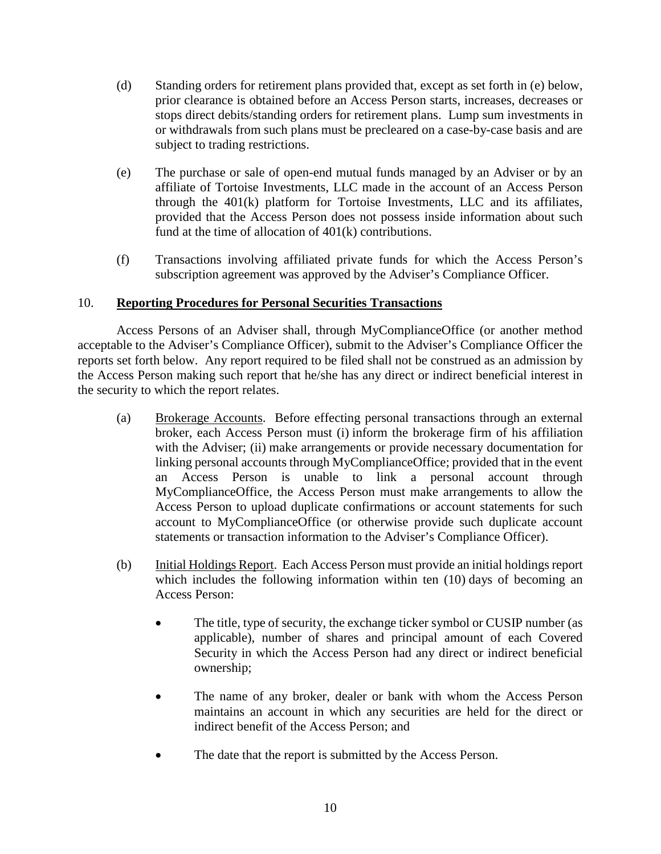- (d) Standing orders for retirement plans provided that, except as set forth in (e) below, prior clearance is obtained before an Access Person starts, increases, decreases or stops direct debits/standing orders for retirement plans. Lump sum investments in or withdrawals from such plans must be precleared on a case-by-case basis and are subject to trading restrictions.
- (e) The purchase or sale of open-end mutual funds managed by an Adviser or by an affiliate of Tortoise Investments, LLC made in the account of an Access Person through the 401(k) platform for Tortoise Investments, LLC and its affiliates, provided that the Access Person does not possess inside information about such fund at the time of allocation of 401(k) contributions.
- (f) Transactions involving affiliated private funds for which the Access Person's subscription agreement was approved by the Adviser's Compliance Officer.

# 10. **Reporting Procedures for Personal Securities Transactions**

Access Persons of an Adviser shall, through MyComplianceOffice (or another method acceptable to the Adviser's Compliance Officer), submit to the Adviser's Compliance Officer the reports set forth below. Any report required to be filed shall not be construed as an admission by the Access Person making such report that he/she has any direct or indirect beneficial interest in the security to which the report relates.

- (a) Brokerage Accounts. Before effecting personal transactions through an external broker, each Access Person must (i) inform the brokerage firm of his affiliation with the Adviser; (ii) make arrangements or provide necessary documentation for linking personal accounts through MyComplianceOffice; provided that in the event an Access Person is unable to link a personal account through MyComplianceOffice, the Access Person must make arrangements to allow the Access Person to upload duplicate confirmations or account statements for such account to MyComplianceOffice (or otherwise provide such duplicate account statements or transaction information to the Adviser's Compliance Officer).
- (b) Initial Holdings Report. Each Access Person must provide an initial holdings report which includes the following information within ten (10) days of becoming an Access Person:
	- The title, type of security, the exchange ticker symbol or CUSIP number (as applicable), number of shares and principal amount of each Covered Security in which the Access Person had any direct or indirect beneficial ownership;
	- The name of any broker, dealer or bank with whom the Access Person maintains an account in which any securities are held for the direct or indirect benefit of the Access Person; and
	- The date that the report is submitted by the Access Person.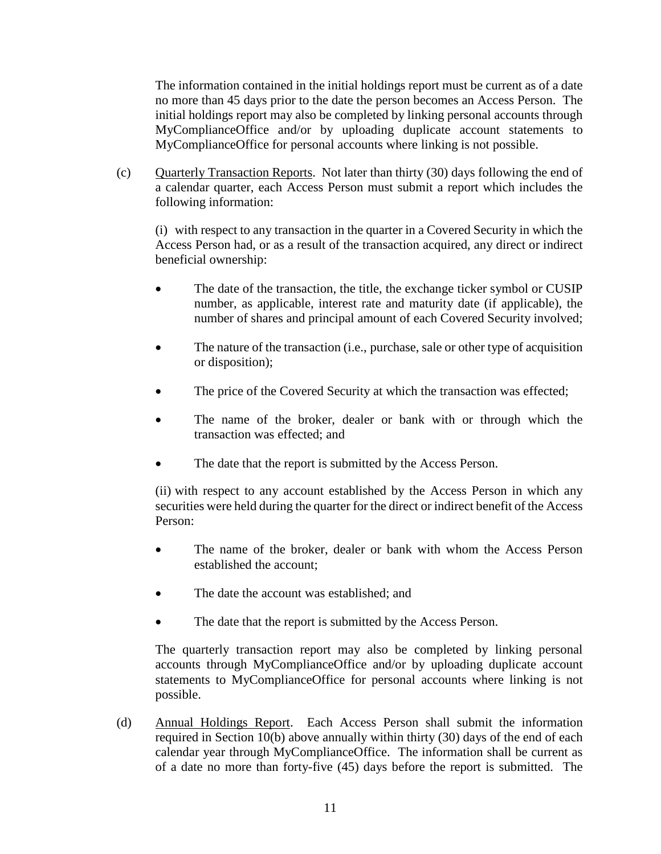The information contained in the initial holdings report must be current as of a date no more than 45 days prior to the date the person becomes an Access Person. The initial holdings report may also be completed by linking personal accounts through MyComplianceOffice and/or by uploading duplicate account statements to MyComplianceOffice for personal accounts where linking is not possible.

(c) Quarterly Transaction Reports. Not later than thirty (30) days following the end of a calendar quarter, each Access Person must submit a report which includes the following information:

(i) with respect to any transaction in the quarter in a Covered Security in which the Access Person had, or as a result of the transaction acquired, any direct or indirect beneficial ownership:

- The date of the transaction, the title, the exchange ticker symbol or CUSIP number, as applicable, interest rate and maturity date (if applicable), the number of shares and principal amount of each Covered Security involved;
- The nature of the transaction (i.e., purchase, sale or other type of acquisition or disposition);
- The price of the Covered Security at which the transaction was effected;
- The name of the broker, dealer or bank with or through which the transaction was effected; and
- The date that the report is submitted by the Access Person.

(ii) with respect to any account established by the Access Person in which any securities were held during the quarter for the direct or indirect benefit of the Access Person:

- The name of the broker, dealer or bank with whom the Access Person established the account;
- The date the account was established; and
- The date that the report is submitted by the Access Person.

The quarterly transaction report may also be completed by linking personal accounts through MyComplianceOffice and/or by uploading duplicate account statements to MyComplianceOffice for personal accounts where linking is not possible.

(d) Annual Holdings Report. Each Access Person shall submit the information required in Section 10(b) above annually within thirty (30) days of the end of each calendar year through MyComplianceOffice. The information shall be current as of a date no more than forty-five (45) days before the report is submitted. The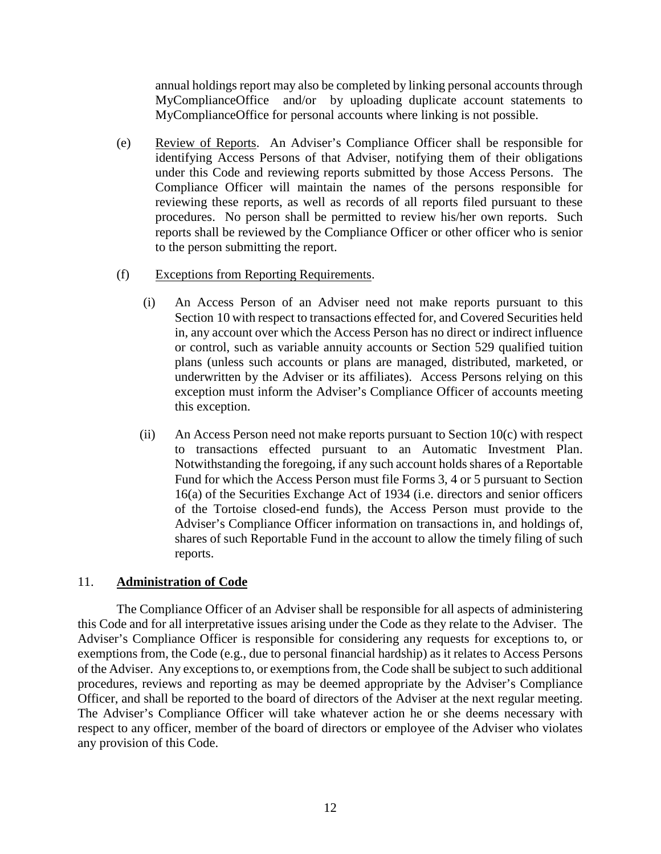annual holdings report may also be completed by linking personal accounts through MyComplianceOffice and/or by uploading duplicate account statements to MyComplianceOffice for personal accounts where linking is not possible.

(e) Review of Reports. An Adviser's Compliance Officer shall be responsible for identifying Access Persons of that Adviser, notifying them of their obligations under this Code and reviewing reports submitted by those Access Persons. The Compliance Officer will maintain the names of the persons responsible for reviewing these reports, as well as records of all reports filed pursuant to these procedures. No person shall be permitted to review his/her own reports. Such reports shall be reviewed by the Compliance Officer or other officer who is senior to the person submitting the report.

# (f) Exceptions from Reporting Requirements.

- (i) An Access Person of an Adviser need not make reports pursuant to this Section 10 with respect to transactions effected for, and Covered Securities held in, any account over which the Access Person has no direct or indirect influence or control, such as variable annuity accounts or Section 529 qualified tuition plans (unless such accounts or plans are managed, distributed, marketed, or underwritten by the Adviser or its affiliates). Access Persons relying on this exception must inform the Adviser's Compliance Officer of accounts meeting this exception.
- (ii) An Access Person need not make reports pursuant to Section 10(c) with respect to transactions effected pursuant to an Automatic Investment Plan. Notwithstanding the foregoing, if any such account holds shares of a Reportable Fund for which the Access Person must file Forms 3, 4 or 5 pursuant to Section 16(a) of the Securities Exchange Act of 1934 (i.e. directors and senior officers of the Tortoise closed-end funds), the Access Person must provide to the Adviser's Compliance Officer information on transactions in, and holdings of, shares of such Reportable Fund in the account to allow the timely filing of such reports.

# 11. **Administration of Code**

The Compliance Officer of an Adviser shall be responsible for all aspects of administering this Code and for all interpretative issues arising under the Code as they relate to the Adviser. The Adviser's Compliance Officer is responsible for considering any requests for exceptions to, or exemptions from, the Code (e.g., due to personal financial hardship) as it relates to Access Persons of the Adviser. Any exceptions to, or exemptions from, the Code shall be subject to such additional procedures, reviews and reporting as may be deemed appropriate by the Adviser's Compliance Officer, and shall be reported to the board of directors of the Adviser at the next regular meeting. The Adviser's Compliance Officer will take whatever action he or she deems necessary with respect to any officer, member of the board of directors or employee of the Adviser who violates any provision of this Code.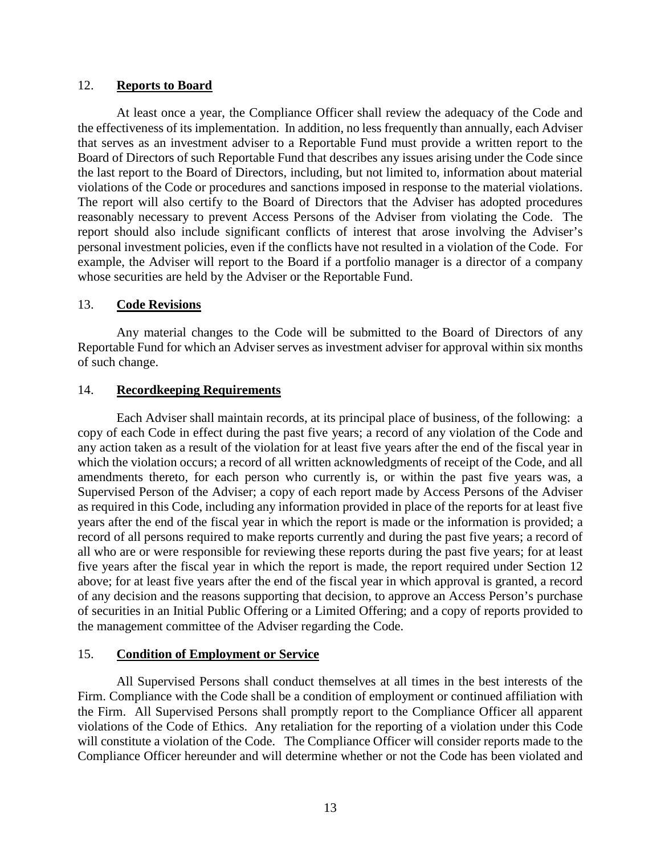# 12. **Reports to Board**

At least once a year, the Compliance Officer shall review the adequacy of the Code and the effectiveness of its implementation. In addition, no less frequently than annually, each Adviser that serves as an investment adviser to a Reportable Fund must provide a written report to the Board of Directors of such Reportable Fund that describes any issues arising under the Code since the last report to the Board of Directors, including, but not limited to, information about material violations of the Code or procedures and sanctions imposed in response to the material violations. The report will also certify to the Board of Directors that the Adviser has adopted procedures reasonably necessary to prevent Access Persons of the Adviser from violating the Code. The report should also include significant conflicts of interest that arose involving the Adviser's personal investment policies, even if the conflicts have not resulted in a violation of the Code. For example, the Adviser will report to the Board if a portfolio manager is a director of a company whose securities are held by the Adviser or the Reportable Fund.

# 13. **Code Revisions**

Any material changes to the Code will be submitted to the Board of Directors of any Reportable Fund for which an Adviser serves as investment adviser for approval within six months of such change.

# 14. **Recordkeeping Requirements**

Each Adviser shall maintain records, at its principal place of business, of the following: a copy of each Code in effect during the past five years; a record of any violation of the Code and any action taken as a result of the violation for at least five years after the end of the fiscal year in which the violation occurs; a record of all written acknowledgments of receipt of the Code, and all amendments thereto, for each person who currently is, or within the past five years was, a Supervised Person of the Adviser; a copy of each report made by Access Persons of the Adviser as required in this Code, including any information provided in place of the reports for at least five years after the end of the fiscal year in which the report is made or the information is provided; a record of all persons required to make reports currently and during the past five years; a record of all who are or were responsible for reviewing these reports during the past five years; for at least five years after the fiscal year in which the report is made, the report required under Section 12 above; for at least five years after the end of the fiscal year in which approval is granted, a record of any decision and the reasons supporting that decision, to approve an Access Person's purchase of securities in an Initial Public Offering or a Limited Offering; and a copy of reports provided to the management committee of the Adviser regarding the Code.

# 15. **Condition of Employment or Service**

All Supervised Persons shall conduct themselves at all times in the best interests of the Firm. Compliance with the Code shall be a condition of employment or continued affiliation with the Firm. All Supervised Persons shall promptly report to the Compliance Officer all apparent violations of the Code of Ethics. Any retaliation for the reporting of a violation under this Code will constitute a violation of the Code. The Compliance Officer will consider reports made to the Compliance Officer hereunder and will determine whether or not the Code has been violated and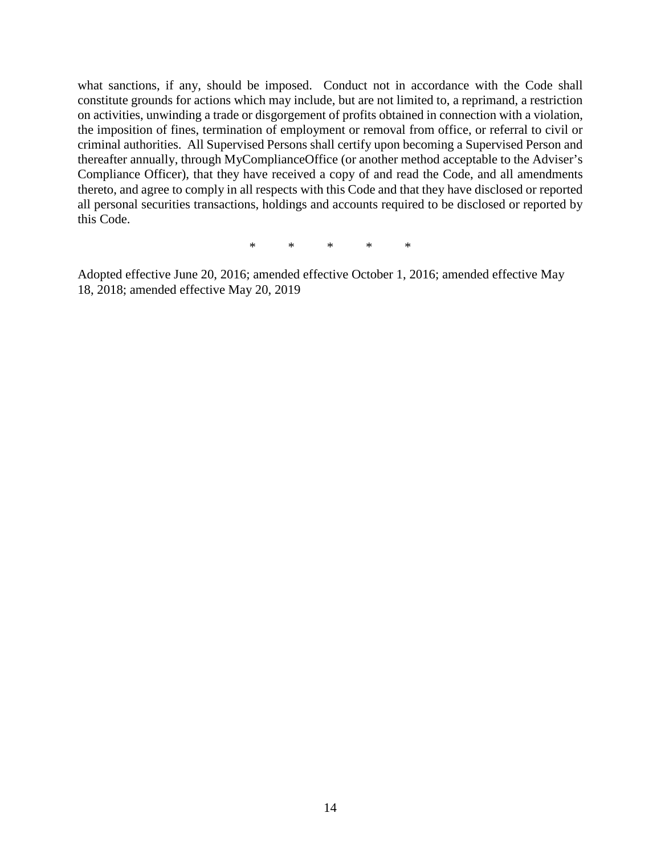what sanctions, if any, should be imposed. Conduct not in accordance with the Code shall constitute grounds for actions which may include, but are not limited to, a reprimand, a restriction on activities, unwinding a trade or disgorgement of profits obtained in connection with a violation, the imposition of fines, termination of employment or removal from office, or referral to civil or criminal authorities. All Supervised Persons shall certify upon becoming a Supervised Person and thereafter annually, through MyComplianceOffice (or another method acceptable to the Adviser's Compliance Officer), that they have received a copy of and read the Code, and all amendments thereto, and agree to comply in all respects with this Code and that they have disclosed or reported all personal securities transactions, holdings and accounts required to be disclosed or reported by this Code.

\* \* \* \* \*

Adopted effective June 20, 2016; amended effective October 1, 2016; amended effective May 18, 2018; amended effective May 20, 2019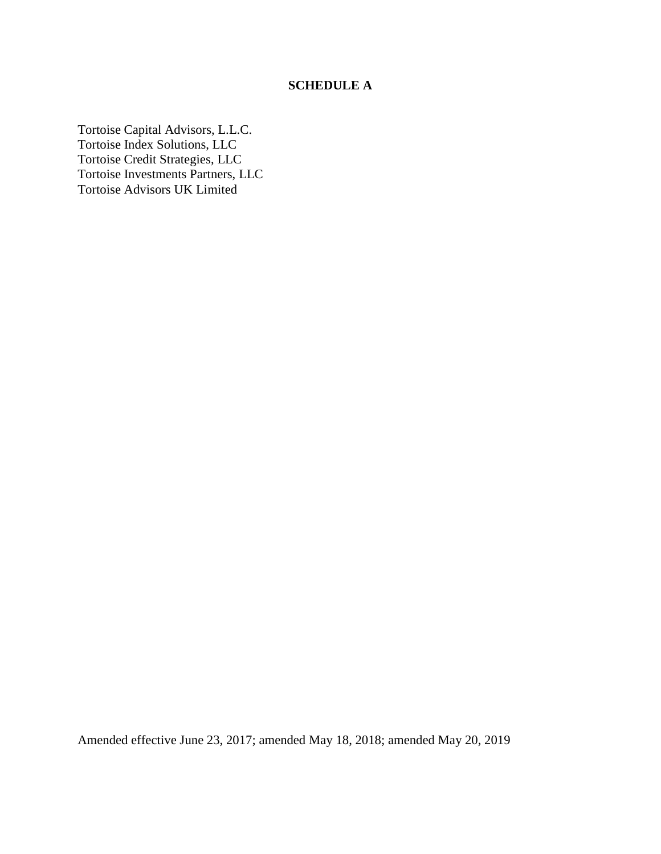# **SCHEDULE A**

Tortoise Capital Advisors, L.L.C. Tortoise Index Solutions, LLC Tortoise Credit Strategies, LLC Tortoise Investments Partners, LLC Tortoise Advisors UK Limited

Amended effective June 23, 2017; amended May 18, 2018; amended May 20, 2019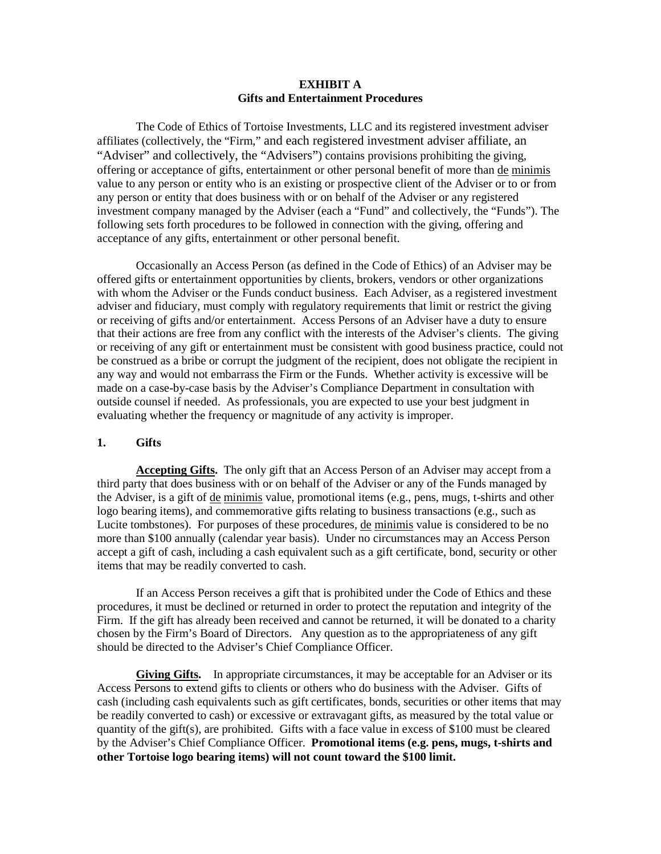#### **EXHIBIT A Gifts and Entertainment Procedures**

The Code of Ethics of Tortoise Investments, LLC and its registered investment adviser affiliates (collectively, the "Firm," and each registered investment adviser affiliate, an "Adviser" and collectively, the "Advisers") contains provisions prohibiting the giving, offering or acceptance of gifts, entertainment or other personal benefit of more than de minimis value to any person or entity who is an existing or prospective client of the Adviser or to or from any person or entity that does business with or on behalf of the Adviser or any registered investment company managed by the Adviser (each a "Fund" and collectively, the "Funds"). The following sets forth procedures to be followed in connection with the giving, offering and acceptance of any gifts, entertainment or other personal benefit.

Occasionally an Access Person (as defined in the Code of Ethics) of an Adviser may be offered gifts or entertainment opportunities by clients, brokers, vendors or other organizations with whom the Adviser or the Funds conduct business. Each Adviser, as a registered investment adviser and fiduciary, must comply with regulatory requirements that limit or restrict the giving or receiving of gifts and/or entertainment. Access Persons of an Adviser have a duty to ensure that their actions are free from any conflict with the interests of the Adviser's clients. The giving or receiving of any gift or entertainment must be consistent with good business practice, could not be construed as a bribe or corrupt the judgment of the recipient, does not obligate the recipient in any way and would not embarrass the Firm or the Funds. Whether activity is excessive will be made on a case-by-case basis by the Adviser's Compliance Department in consultation with outside counsel if needed. As professionals, you are expected to use your best judgment in evaluating whether the frequency or magnitude of any activity is improper.

#### **1. Gifts**

**Accepting Gifts.** The only gift that an Access Person of an Adviser may accept from a third party that does business with or on behalf of the Adviser or any of the Funds managed by the Adviser, is a gift of de minimis value, promotional items (e.g., pens, mugs, t-shirts and other logo bearing items), and commemorative gifts relating to business transactions (e.g., such as Lucite tombstones). For purposes of these procedures, de minimis value is considered to be no more than \$100 annually (calendar year basis). Under no circumstances may an Access Person accept a gift of cash, including a cash equivalent such as a gift certificate, bond, security or other items that may be readily converted to cash.

If an Access Person receives a gift that is prohibited under the Code of Ethics and these procedures, it must be declined or returned in order to protect the reputation and integrity of the Firm. If the gift has already been received and cannot be returned, it will be donated to a charity chosen by the Firm's Board of Directors. Any question as to the appropriateness of any gift should be directed to the Adviser's Chief Compliance Officer.

**Giving Gifts.** In appropriate circumstances, it may be acceptable for an Adviser or its Access Persons to extend gifts to clients or others who do business with the Adviser. Gifts of cash (including cash equivalents such as gift certificates, bonds, securities or other items that may be readily converted to cash) or excessive or extravagant gifts, as measured by the total value or quantity of the gift(s), are prohibited. Gifts with a face value in excess of \$100 must be cleared by the Adviser's Chief Compliance Officer. **Promotional items (e.g. pens, mugs, t-shirts and other Tortoise logo bearing items) will not count toward the \$100 limit.**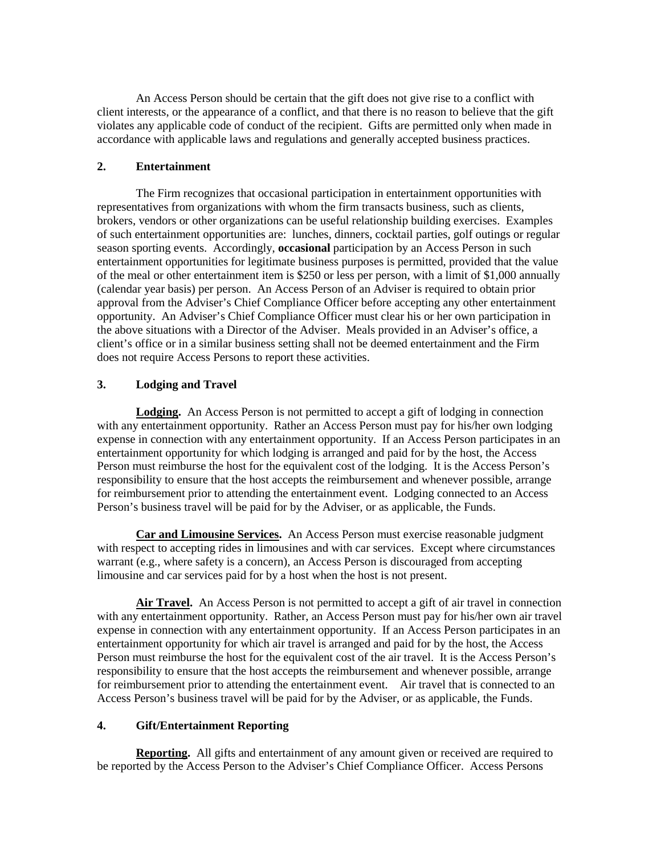An Access Person should be certain that the gift does not give rise to a conflict with client interests, or the appearance of a conflict, and that there is no reason to believe that the gift violates any applicable code of conduct of the recipient. Gifts are permitted only when made in accordance with applicable laws and regulations and generally accepted business practices.

### **2. Entertainment**

The Firm recognizes that occasional participation in entertainment opportunities with representatives from organizations with whom the firm transacts business, such as clients, brokers, vendors or other organizations can be useful relationship building exercises. Examples of such entertainment opportunities are: lunches, dinners, cocktail parties, golf outings or regular season sporting events. Accordingly, **occasional** participation by an Access Person in such entertainment opportunities for legitimate business purposes is permitted, provided that the value of the meal or other entertainment item is \$250 or less per person, with a limit of \$1,000 annually (calendar year basis) per person. An Access Person of an Adviser is required to obtain prior approval from the Adviser's Chief Compliance Officer before accepting any other entertainment opportunity. An Adviser's Chief Compliance Officer must clear his or her own participation in the above situations with a Director of the Adviser. Meals provided in an Adviser's office, a client's office or in a similar business setting shall not be deemed entertainment and the Firm does not require Access Persons to report these activities.

### **3. Lodging and Travel**

**Lodging.** An Access Person is not permitted to accept a gift of lodging in connection with any entertainment opportunity. Rather an Access Person must pay for his/her own lodging expense in connection with any entertainment opportunity. If an Access Person participates in an entertainment opportunity for which lodging is arranged and paid for by the host, the Access Person must reimburse the host for the equivalent cost of the lodging. It is the Access Person's responsibility to ensure that the host accepts the reimbursement and whenever possible, arrange for reimbursement prior to attending the entertainment event. Lodging connected to an Access Person's business travel will be paid for by the Adviser, or as applicable, the Funds.

**Car and Limousine Services.** An Access Person must exercise reasonable judgment with respect to accepting rides in limousines and with car services. Except where circumstances warrant (e.g., where safety is a concern), an Access Person is discouraged from accepting limousine and car services paid for by a host when the host is not present.

**Air Travel.** An Access Person is not permitted to accept a gift of air travel in connection with any entertainment opportunity. Rather, an Access Person must pay for his/her own air travel expense in connection with any entertainment opportunity. If an Access Person participates in an entertainment opportunity for which air travel is arranged and paid for by the host, the Access Person must reimburse the host for the equivalent cost of the air travel. It is the Access Person's responsibility to ensure that the host accepts the reimbursement and whenever possible, arrange for reimbursement prior to attending the entertainment event. Air travel that is connected to an Access Person's business travel will be paid for by the Adviser, or as applicable, the Funds.

#### **4. Gift/Entertainment Reporting**

**Reporting.** All gifts and entertainment of any amount given or received are required to be reported by the Access Person to the Adviser's Chief Compliance Officer. Access Persons